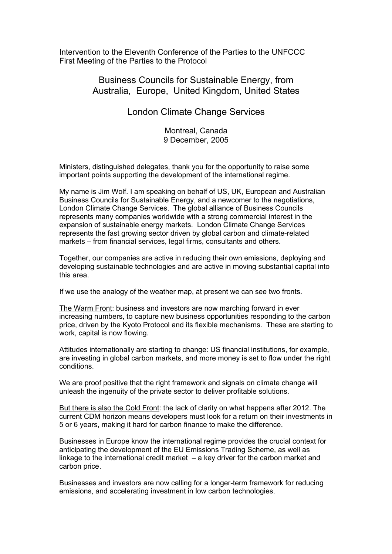Intervention to the Eleventh Conference of the Parties to the UNFCCC First Meeting of the Parties to the Protocol

## Business Councils for Sustainable Energy, from Australia, Europe, United Kingdom, United States

## London Climate Change Services

Montreal, Canada 9 December, 2005

Ministers, distinguished delegates, thank you for the opportunity to raise some important points supporting the development of the international regime.

My name is Jim Wolf. I am speaking on behalf of US, UK, European and Australian Business Councils for Sustainable Energy, and a newcomer to the negotiations, London Climate Change Services. The global alliance of Business Councils represents many companies worldwide with a strong commercial interest in the expansion of sustainable energy markets. London Climate Change Services represents the fast growing sector driven by global carbon and climate-related markets – from financial services, legal firms, consultants and others.

Together, our companies are active in reducing their own emissions, deploying and developing sustainable technologies and are active in moving substantial capital into this area.

If we use the analogy of the weather map, at present we can see two fronts.

The Warm Front: business and investors are now marching forward in ever increasing numbers, to capture new business opportunities responding to the carbon price, driven by the Kyoto Protocol and its flexible mechanisms. These are starting to work, capital is now flowing.

Attitudes internationally are starting to change: US financial institutions, for example, are investing in global carbon markets, and more money is set to flow under the right conditions.

We are proof positive that the right framework and signals on climate change will unleash the ingenuity of the private sector to deliver profitable solutions.

But there is also the Cold Front: the lack of clarity on what happens after 2012. The current CDM horizon means developers must look for a return on their investments in 5 or 6 years, making it hard for carbon finance to make the difference.

Businesses in Europe know the international regime provides the crucial context for anticipating the development of the EU Emissions Trading Scheme, as well as linkage to the international credit market – a key driver for the carbon market and carbon price.

Businesses and investors are now calling for a longer-term framework for reducing emissions, and accelerating investment in low carbon technologies.